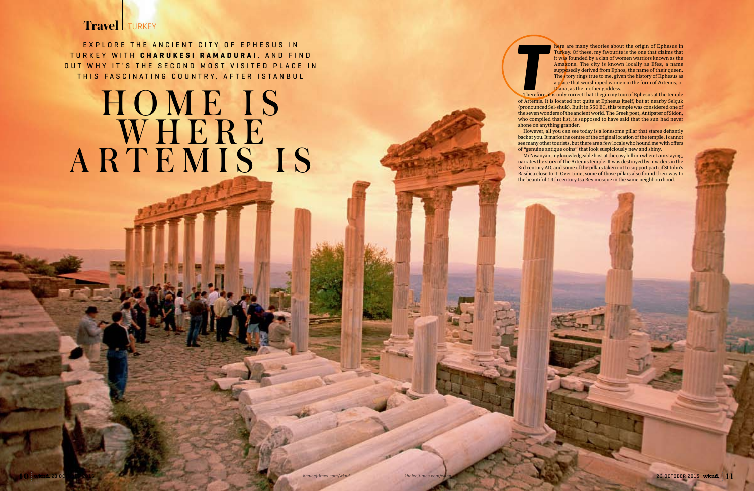## **Travel** TURKEY

EXPLORE THE ANCIENT CITY OF EPHESUS IN T urkey with **Charukesi R amadurai** , a n d f i n d OUT WHY IT'S THE SECOND MOST VISITED PLACE IN EXPLORE THE ANCIENT CITY OF EPHESUS IN<br>URKEY WITH **CHARUKESI RAMADURAI**, AND FIND<br>T WHY IT'S THE SECOND MOST VISITED PLACE IN<br>THIS FASCINATING COUNTRY, AFTER ISTANBUL<br>Therefore of Artemis.

## HOME IS WHERE ARTEMIS IS

here are many theories about the origin of Ephesus in Turkey. Of these, my favourite is the one that claims that it was founded by a clan of women warriors known as the Amazons. The city is known locally as Efes, a name supposedly derived from Ephos, the name of their queen. The story rings true to me, given the history of Ephesus as a place that worshipped women in the form of Artemis, or

Diana, as the mother goddess. Therefore, it is only correct that I begin my tour of Ephesus at the temple of Artemis. It is located not quite at Ephesus itself, but at nearby Selçuk (pronounced Sel-shuk). Built in 550 BC, this temple was considered one of the seven wonders of the ancient world. The Greek poet, Antipater of Sidon, who compiled that list, is supposed to have said that the sun had never shone on anything grander.

However, all you can see today is a lonesome pillar that stares defiantly back at you. It marks the centre of the original location of the temple. I cannot see many other tourists, but there are a few locals who hound me with offers of "genuine antique coins" that look suspiciously new and shiny.

Mr Nisanyan, my knowledgeable host at the cosy hill inn where I am staying, narrates the story of the Artemis temple. It was destroyed by invaders in the 3rd century AD, and some of the pillars taken out to support part of St John's Basilica close to it. Over time, some of those pillars also found their way to the beautiful 14th century Isa Bey mosque in the same neighbourhood.